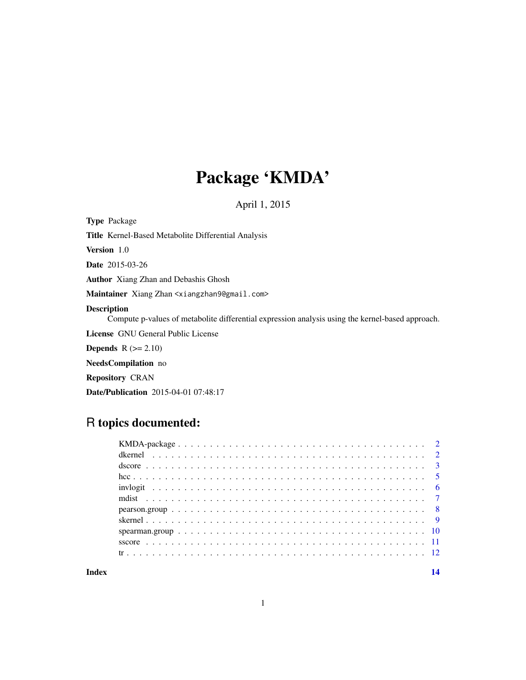## Package 'KMDA'

April 1, 2015

Type Package

Title Kernel-Based Metabolite Differential Analysis

Version 1.0

Date 2015-03-26

Author Xiang Zhan and Debashis Ghosh

Maintainer Xiang Zhan <xiangzhan9@gmail.com>

#### Description

Compute p-values of metabolite differential expression analysis using the kernel-based approach.

License GNU General Public License

**Depends**  $R$  ( $>= 2.10$ )

NeedsCompilation no

Repository CRAN

Date/Publication 2015-04-01 07:48:17

## R topics documented:

#### **Index** 2008 **[14](#page-13-0)**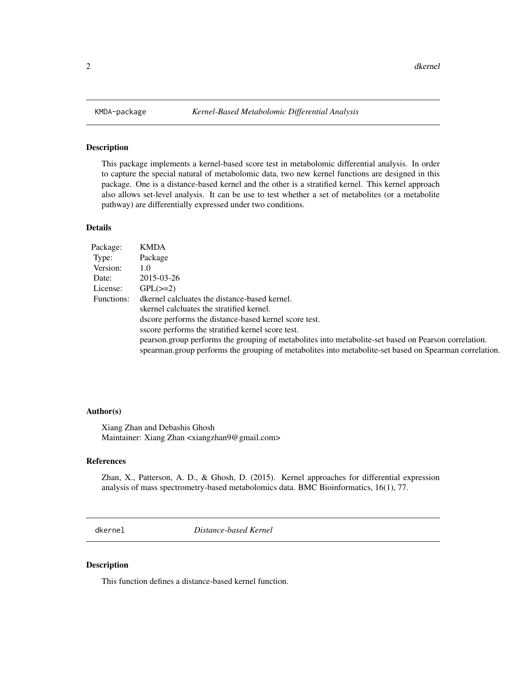This package implements a kernel-based score test in metabolomic differential analysis. In order to capture the special natural of metabolomic data, two new kernel functions are designed in this package. One is a distance-based kernel and the other is a stratified kernel. This kernel approach also allows set-level analysis. It can be use to test whether a set of metabolites (or a metabolite pathway) are differentially expressed under two conditions.

## Details

| Package:   | <b>KMDA</b>                                                                                            |
|------------|--------------------------------------------------------------------------------------------------------|
| Type:      | Package                                                                                                |
| Version:   | 1.0                                                                                                    |
| Date:      | 2015-03-26                                                                                             |
| License:   | $GPL(\geq=2)$                                                                                          |
| Functions: | dkernel calcluates the distance-based kernel.                                                          |
|            | skernel calcluates the stratified kernel.                                                              |
|            | dscore performs the distance-based kernel score test.                                                  |
|            | sscore performs the stratified kernel score test.                                                      |
|            | pearson group performs the grouping of metabolities into metabolite-set based on Pearson correlation.  |
|            | spearman.group performs the grouping of metabolites into metabolite-set based on Spearman correlation. |

#### Author(s)

Xiang Zhan and Debashis Ghosh Maintainer: Xiang Zhan <xiangzhan9@gmail.com>

## References

Zhan, X., Patterson, A. D., & Ghosh, D. (2015). Kernel approaches for differential expression analysis of mass spectrometry-based metabolomics data. BMC Bioinformatics, 16(1), 77.

<span id="page-1-1"></span>dkernel *Distance-based Kernel*

#### Description

This function defines a distance-based kernel function.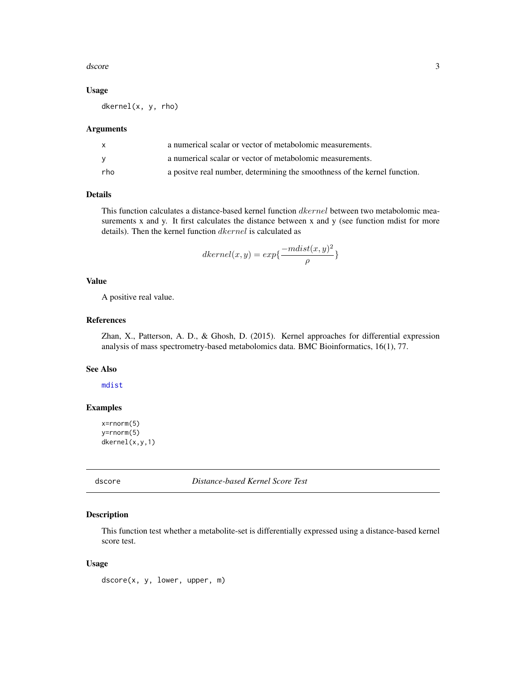#### <span id="page-2-0"></span>dscore 3

## Usage

dkernel(x, y, rho)

#### Arguments

|     | a numerical scalar or vector of metabolomic measurements.                  |
|-----|----------------------------------------------------------------------------|
| v   | a numerical scalar or vector of metabolomic measurements.                  |
| rho | a positive real number, determining the smoothness of the kernel function. |

## Details

This function calculates a distance-based kernel function *dkernel* between two metabolomic measurements x and y. It first calculates the distance between x and y (see function mdist for more details). Then the kernel function  $dkernel$  is calculated as

$$
dkernel(x,y) = exp{\frac{-mdist(x,y)^2}{\rho}}
$$

#### Value

A positive real value.

#### References

Zhan, X., Patterson, A. D., & Ghosh, D. (2015). Kernel approaches for differential expression analysis of mass spectrometry-based metabolomics data. BMC Bioinformatics, 16(1), 77.

#### See Also

[mdist](#page-6-1)

## Examples

```
x=rnorm(5)
y=rnorm(5)
dkernel(x,y,1)
```
<span id="page-2-1"></span>dscore *Distance-based Kernel Score Test*

## Description

This function test whether a metabolite-set is differentially expressed using a distance-based kernel score test.

#### Usage

dscore(x, y, lower, upper, m)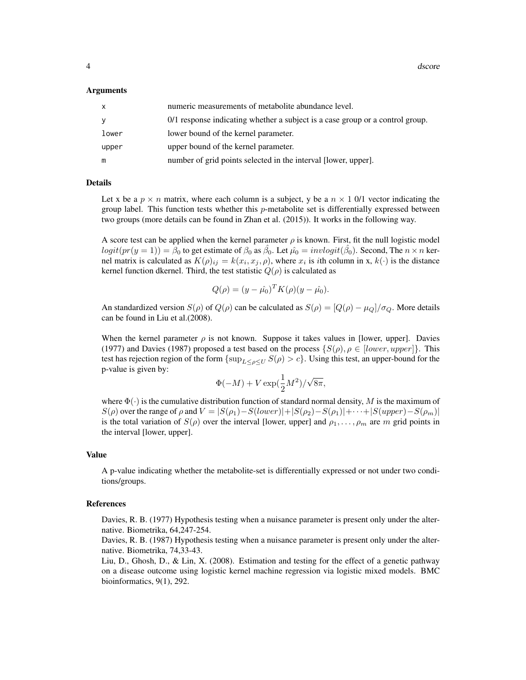#### Arguments

| x     | numeric measurements of metabolite abundance level.                           |
|-------|-------------------------------------------------------------------------------|
| ٧     | 0/1 response indicating whether a subject is a case group or a control group. |
| lower | lower bound of the kernel parameter.                                          |
| upper | upper bound of the kernel parameter.                                          |
| m     | number of grid points selected in the interval [lower, upper].                |

#### Details

Let x be a  $p \times n$  matrix, where each column is a subject, y be a  $n \times 1$  0/1 vector indicating the group label. This function tests whether this  $p$ -metabolite set is differentially expressed between two groups (more details can be found in Zhan et al. (2015)). It works in the following way.

A score test can be applied when the kernel parameter  $\rho$  is known. First, fit the null logistic model  $logit(pr(y=1)) = \hat{\beta}_0$  to get estimate of  $\beta_0$  as  $\hat{\beta}_0$ . Let  $\hat{\mu_0} = invlogit(\hat{\beta}_0)$ . Second, The  $n \times n$  kernel matrix is calculated as  $K(\rho)_{ij} = k(x_i, x_j, \rho)$ , where  $x_i$  is *i*th column in x,  $k(\cdot)$  is the distance kernel function dkernel. Third, the test statistic  $Q(\rho)$  is calculated as

$$
Q(\rho) = (y - \hat{\mu_0})^T K(\rho)(y - \hat{\mu_0}).
$$

An standardized version  $S(\rho)$  of  $Q(\rho)$  can be calculated as  $S(\rho) = [Q(\rho) - \mu_Q]/\sigma_Q$ . More details can be found in Liu et al.(2008).

When the kernel parameter  $\rho$  is not known. Suppose it takes values in [lower, upper]. Davies (1977) and Davies (1987) proposed a test based on the process  $\{S(\rho), \rho \in [lower, upper]\}.$  This test has rejection region of the form  $\{\sup_{L\leq \rho\leq U}S(\rho)>c\}$ . Using this test, an upper-bound for the p-value is given by:

$$
\Phi(-M)+V\exp(\frac{1}{2}M^2)/\sqrt{8\pi},
$$

where  $\Phi(\cdot)$  is the cumulative distribution function of standard normal density, M is the maximum of  $S(\rho)$  over the range of  $\rho$  and  $V = |S(\rho_1) - S(lower)| + |S(\rho_2) - S(\rho_1)| + \cdots + |S(upper) - S(\rho_m)|$ is the total variation of  $S(\rho)$  over the interval [lower, upper] and  $\rho_1, \ldots, \rho_m$  are m grid points in the interval [lower, upper].

#### Value

A p-value indicating whether the metabolite-set is differentially expressed or not under two conditions/groups.

#### References

Davies, R. B. (1977) Hypothesis testing when a nuisance parameter is present only under the alternative. Biometrika, 64,247-254.

Davies, R. B. (1987) Hypothesis testing when a nuisance parameter is present only under the alternative. Biometrika, 74,33-43.

Liu, D., Ghosh, D., & Lin, X. (2008). Estimation and testing for the effect of a genetic pathway on a disease outcome using logistic kernel machine regression via logistic mixed models. BMC bioinformatics, 9(1), 292.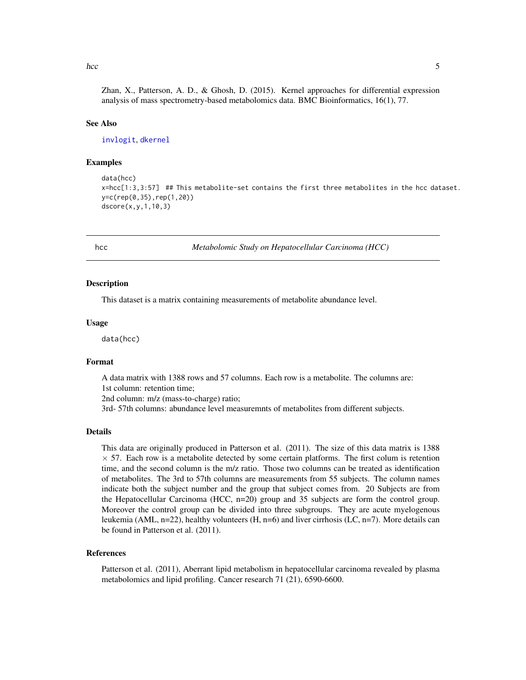<span id="page-4-0"></span>hcc 5 and 5 and 5 and 5 and 5 and 5 and 5 and 5 and 5 and 5 and 5 and 5 and 5 and 5 and 5 and 5 and 5 and 5 and 5 and 5 and 5 and 5 and 5 and 5 and 5 and 5 and 5 and 5 and 5 and 5 and 5 and 5 and 5 and 5 and 5 and 5 and 5

Zhan, X., Patterson, A. D., & Ghosh, D. (2015). Kernel approaches for differential expression analysis of mass spectrometry-based metabolomics data. BMC Bioinformatics, 16(1), 77.

#### See Also

[invlogit](#page-5-1), [dkernel](#page-1-1)

#### Examples

```
data(hcc)
x=hcc[1:3,3:57] ## This metabolite-set contains the first three metabolites in the hcc dataset.
y=c(rep(0,35),rep(1,20))
dscore(x,y,1,10,3)
```
hcc *Metabolomic Study on Hepatocellular Carcinoma (HCC)*

#### Description

This dataset is a matrix containing measurements of metabolite abundance level.

#### Usage

data(hcc)

### Format

A data matrix with 1388 rows and 57 columns. Each row is a metabolite. The columns are: 1st column: retention time;

2nd column: m/z (mass-to-charge) ratio;

3rd- 57th columns: abundance level measuremnts of metabolites from different subjects.

#### Details

This data are originally produced in Patterson et al. (2011). The size of this data matrix is 1388  $\times$  57. Each row is a metabolite detected by some certain platforms. The first colum is retention time, and the second column is the m/z ratio. Those two columns can be treated as identification of metabolites. The 3rd to 57th columns are measurements from 55 subjects. The column names indicate both the subject number and the group that subject comes from. 20 Subjects are from the Hepatocellular Carcinoma (HCC, n=20) group and 35 subjects are form the control group. Moreover the control group can be divided into three subgroups. They are acute myelogenous leukemia (AML, n=22), healthy volunteers (H, n=6) and liver cirrhosis (LC, n=7). More details can be found in Patterson et al. (2011).

#### References

Patterson et al. (2011), Aberrant lipid metabolism in hepatocellular carcinoma revealed by plasma metabolomics and lipid profiling. Cancer research 71 (21), 6590-6600.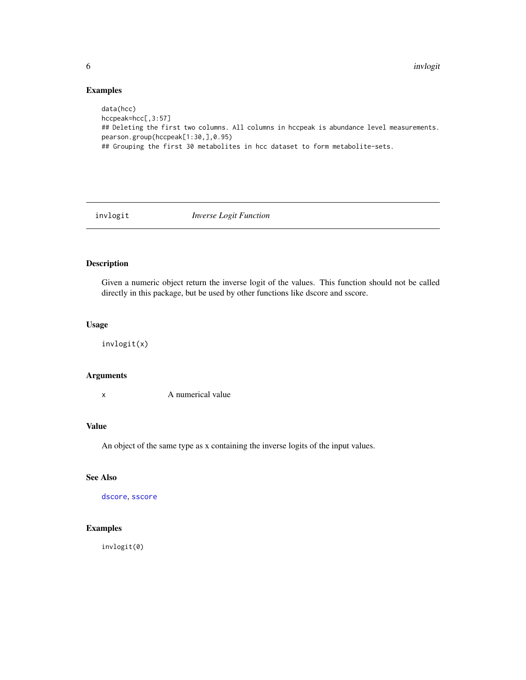## Examples

```
data(hcc)
hccpeak=hcc[,3:57]
## Deleting the first two columns. All columns in hccpeak is abundance level measurements.
pearson.group(hccpeak[1:30,],0.95)
## Grouping the first 30 metabolites in hcc dataset to form metabolite-sets.
```
<span id="page-5-1"></span>

invlogit *Inverse Logit Function*

## Description

Given a numeric object return the inverse logit of the values. This function should not be called directly in this package, but be used by other functions like dscore and sscore.

## Usage

invlogit(x)

#### Arguments

x A numerical value

### Value

An object of the same type as x containing the inverse logits of the input values.

## See Also

[dscore](#page-2-1), [sscore](#page-10-1)

## Examples

invlogit(0)

<span id="page-5-0"></span>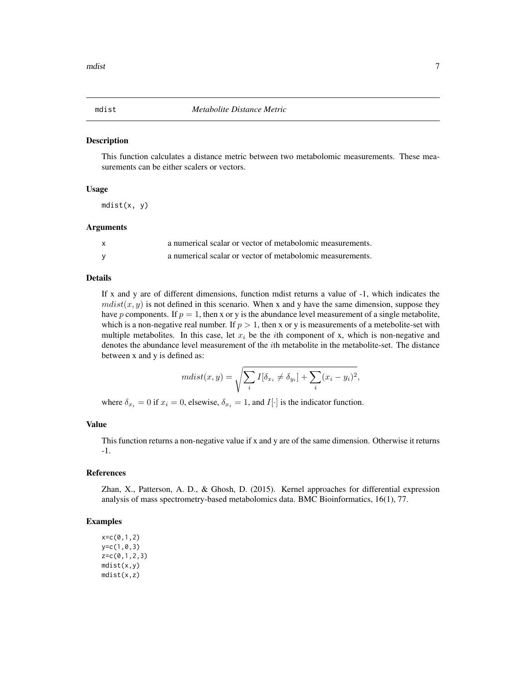<span id="page-6-1"></span><span id="page-6-0"></span>

This function calculates a distance metric between two metabolomic measurements. These measurements can be either scalers or vectors.

## Usage

mdist(x, y)

## Arguments

| X | a numerical scalar or vector of metabolomic measurements. |
|---|-----------------------------------------------------------|
|   | a numerical scalar or vector of metabolomic measurements. |

## Details

If x and y are of different dimensions, function mdist returns a value of -1, which indicates the  $mdist(x, y)$  is not defined in this scenario. When x and y have the same dimension, suppose they have p components. If  $p = 1$ , then x or y is the abundance level measurement of a single metabolite, which is a non-negative real number. If  $p > 1$ , then x or y is measurements of a metebolite-set with multiple metabolites. In this case, let  $x_i$  be the *i*th component of x, which is non-negative and denotes the abundance level measurement of the *i*th metabolite in the metabolite-set. The distance between x and y is defined as:

$$
mdist(x,y) = \sqrt{\sum_{i} I[\delta_{x_i} \neq \delta_{y_i}] + \sum_{i} (x_i - y_i)^2},
$$

where  $\delta_{x_i} = 0$  if  $x_i = 0$ , elsewise,  $\delta_{x_i} = 1$ , and  $I[\cdot]$  is the indicator function.

#### Value

This function returns a non-negative value if x and y are of the same dimension. Otherwise it returns -1.

## References

Zhan, X., Patterson, A. D., & Ghosh, D. (2015). Kernel approaches for differential expression analysis of mass spectrometry-based metabolomics data. BMC Bioinformatics, 16(1), 77.

#### Examples

 $x = c(0,1,2)$ y=c(1,0,3) z=c(0,1,2,3) mdist(x,y) mdist(x,z)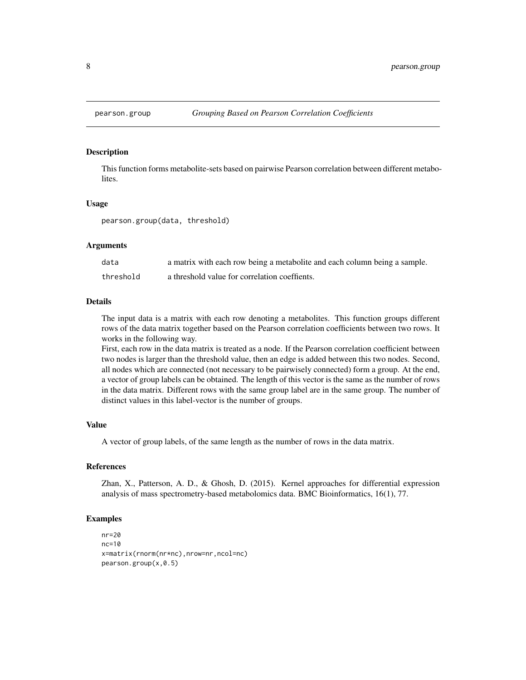<span id="page-7-0"></span>

This function forms metabolite-sets based on pairwise Pearson correlation between different metabolites.

#### Usage

pearson.group(data, threshold)

## Arguments

| data      | a matrix with each row being a metabolite and each column being a sample. |
|-----------|---------------------------------------------------------------------------|
| threshold | a threshold value for correlation coeffients.                             |

#### Details

The input data is a matrix with each row denoting a metabolites. This function groups different rows of the data matrix together based on the Pearson correlation coefficients between two rows. It works in the following way.

First, each row in the data matrix is treated as a node. If the Pearson correlation coefficient between two nodes is larger than the threshold value, then an edge is added between this two nodes. Second, all nodes which are connected (not necessary to be pairwisely connected) form a group. At the end, a vector of group labels can be obtained. The length of this vector is the same as the number of rows in the data matrix. Different rows with the same group label are in the same group. The number of distinct values in this label-vector is the number of groups.

#### Value

A vector of group labels, of the same length as the number of rows in the data matrix.

#### References

Zhan, X., Patterson, A. D., & Ghosh, D. (2015). Kernel approaches for differential expression analysis of mass spectrometry-based metabolomics data. BMC Bioinformatics, 16(1), 77.

#### Examples

```
nr=20
nc=10
x=matrix(rnorm(nr*nc),nrow=nr,ncol=nc)
pearson.group(x,0.5)
```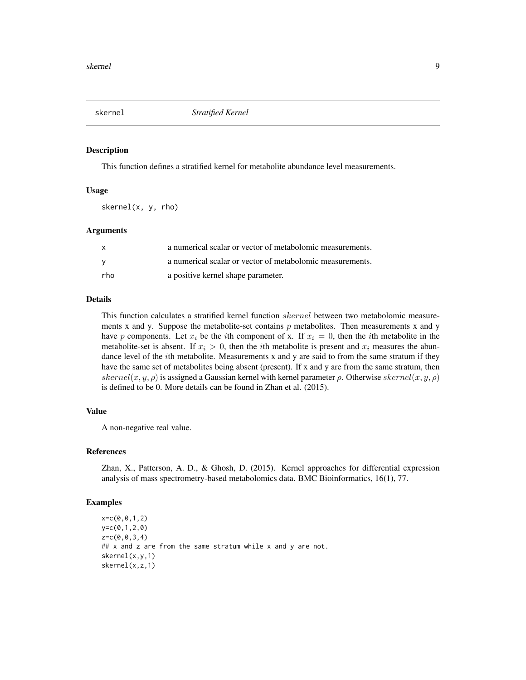<span id="page-8-1"></span><span id="page-8-0"></span>

This function defines a stratified kernel for metabolite abundance level measurements.

#### Usage

skernel(x, y, rho)

#### Arguments

| X        | a numerical scalar or vector of metabolomic measurements. |
|----------|-----------------------------------------------------------|
| <b>V</b> | a numerical scalar or vector of metabolomic measurements. |
| rho      | a positive kernel shape parameter.                        |

#### Details

This function calculates a stratified kernel function *skernel* between two metabolomic measurements x and y. Suppose the metabolite-set contains  $p$  metabolites. Then measurements x and y have p components. Let  $x_i$  be the *i*th component of x. If  $x_i = 0$ , then the *i*th metabolite in the metabolite-set is absent. If  $x_i > 0$ , then the *i*th metabolite is present and  $x_i$  measures the abundance level of the ith metabolite. Measurements x and y are said to from the same stratum if they have the same set of metabolites being absent (present). If x and y are from the same stratum, then skernel(x, y,  $\rho$ ) is assigned a Gaussian kernel with kernel parameter  $\rho$ . Otherwise skernel(x, y,  $\rho$ ) is defined to be 0. More details can be found in Zhan et al. (2015).

#### Value

A non-negative real value.

#### References

Zhan, X., Patterson, A. D., & Ghosh, D. (2015). Kernel approaches for differential expression analysis of mass spectrometry-based metabolomics data. BMC Bioinformatics, 16(1), 77.

#### Examples

```
x=c(0,0,1,2)
y=c(0,1,2,0)
z=c(0,0,3,4)## x and z are from the same stratum while x and y are not.
skernel(x,y,1)
skernel(x,z,1)
```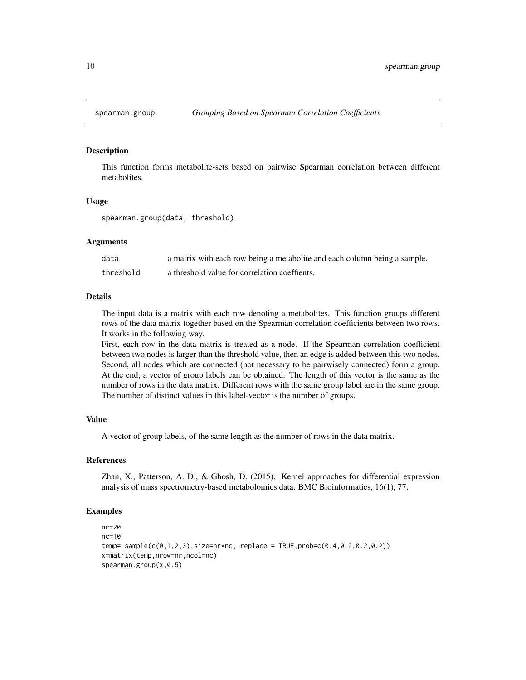<span id="page-9-0"></span>

This function forms metabolite-sets based on pairwise Spearman correlation between different metabolites.

#### Usage

spearman.group(data, threshold)

#### **Arguments**

| data      | a matrix with each row being a metabolite and each column being a sample. |
|-----------|---------------------------------------------------------------------------|
| threshold | a threshold value for correlation coeffients.                             |

#### Details

The input data is a matrix with each row denoting a metabolites. This function groups different rows of the data matrix together based on the Spearman correlation coefficients between two rows. It works in the following way.

First, each row in the data matrix is treated as a node. If the Spearman correlation coefficient between two nodes is larger than the threshold value, then an edge is added between this two nodes. Second, all nodes which are connected (not necessary to be pairwisely connected) form a group. At the end, a vector of group labels can be obtained. The length of this vector is the same as the number of rows in the data matrix. Different rows with the same group label are in the same group. The number of distinct values in this label-vector is the number of groups.

## Value

A vector of group labels, of the same length as the number of rows in the data matrix.

## References

Zhan, X., Patterson, A. D., & Ghosh, D. (2015). Kernel approaches for differential expression analysis of mass spectrometry-based metabolomics data. BMC Bioinformatics, 16(1), 77.

### Examples

```
nr=20
nc=10temp= sample(c(0,1,2,3),size=nr*nc, replace = TRUE,prob=c(0.4,0.2,0.2,0.2))x=matrix(temp,nrow=nr,ncol=nc)
spearman.group(x,0.5)
```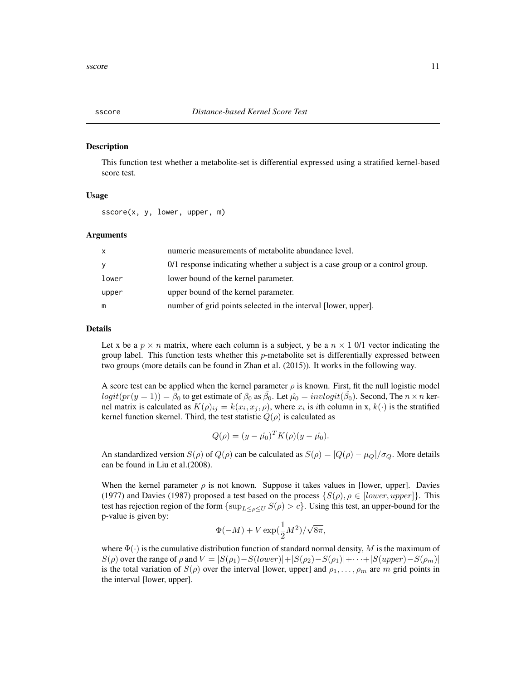<span id="page-10-1"></span><span id="page-10-0"></span>

This function test whether a metabolite-set is differential expressed using a stratified kernel-based score test.

#### Usage

sscore(x, y, lower, upper, m)

#### Arguments

| X     | numeric measurements of metabolite abundance level.                           |
|-------|-------------------------------------------------------------------------------|
| У     | 0/1 response indicating whether a subject is a case group or a control group. |
| lower | lower bound of the kernel parameter.                                          |
| upper | upper bound of the kernel parameter.                                          |
| m     | number of grid points selected in the interval [lower, upper].                |

#### Details

Let x be a  $p \times n$  matrix, where each column is a subject, y be a  $n \times 1$  0/1 vector indicating the group label. This function tests whether this  $p$ -metabolite set is differentially expressed between two groups (more details can be found in Zhan et al. (2015)). It works in the following way.

A score test can be applied when the kernel parameter  $\rho$  is known. First, fit the null logistic model  $logit(pr(y=1)) = \beta_0$  to get estimate of  $\beta_0$  as  $\hat{\beta_0}$ . Let  $\hat{\mu_0} = invlogit(\hat{\beta_0})$ . Second, The  $n \times n$  kernel matrix is calculated as  $K(\rho)_{ij} = k(x_i, x_j, \rho)$ , where  $x_i$  is *i*th column in x,  $k(\cdot)$  is the stratified kernel function skernel. Third, the test statistic  $Q(\rho)$  is calculated as

$$
Q(\rho) = (y - \hat{\mu_0})^T K(\rho)(y - \hat{\mu_0}).
$$

An standardized version  $S(\rho)$  of  $Q(\rho)$  can be calculated as  $S(\rho) = |Q(\rho) - \mu_Q|/\sigma_Q$ . More details can be found in Liu et al.(2008).

When the kernel parameter  $\rho$  is not known. Suppose it takes values in [lower, upper]. Davies (1977) and Davies (1987) proposed a test based on the process  $\{S(\rho), \rho \in [lower, upper]\}.$  This test has rejection region of the form  $\{\sup_{L\leq \rho\leq U}S(\rho)>c\}$ . Using this test, an upper-bound for the p-value is given by:

$$
\Phi(-M)+V\exp(\frac{1}{2}M^2)/\sqrt{8\pi},
$$

where  $\Phi(\cdot)$  is the cumulative distribution function of standard normal density, M is the maximum of  $S(\rho)$  over the range of  $\rho$  and  $V = |S(\rho_1) - S(lower)| + |S(\rho_2) - S(\rho_1)| + \cdots + |S(upper) - S(\rho_m)|$ is the total variation of  $S(\rho)$  over the interval [lower, upper] and  $\rho_1, \ldots, \rho_m$  are m grid points in the interval [lower, upper].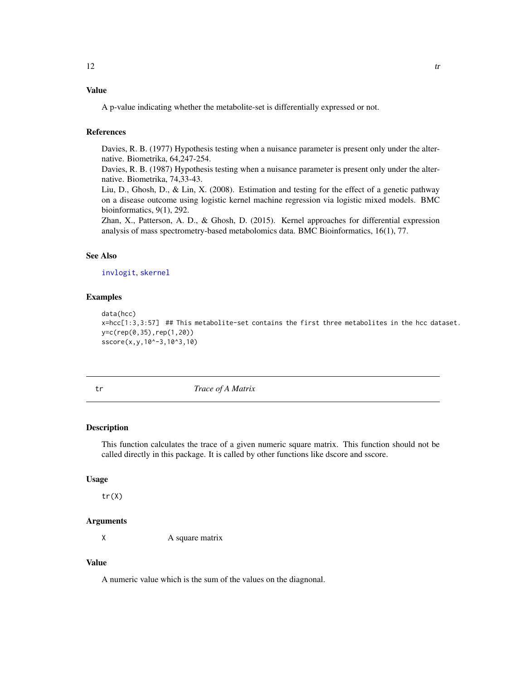## <span id="page-11-0"></span>Value

A p-value indicating whether the metabolite-set is differentially expressed or not.

## References

Davies, R. B. (1977) Hypothesis testing when a nuisance parameter is present only under the alternative. Biometrika, 64,247-254.

Davies, R. B. (1987) Hypothesis testing when a nuisance parameter is present only under the alternative. Biometrika, 74,33-43.

Liu, D., Ghosh, D., & Lin, X. (2008). Estimation and testing for the effect of a genetic pathway on a disease outcome using logistic kernel machine regression via logistic mixed models. BMC bioinformatics, 9(1), 292.

Zhan, X., Patterson, A. D., & Ghosh, D. (2015). Kernel approaches for differential expression analysis of mass spectrometry-based metabolomics data. BMC Bioinformatics, 16(1), 77.

#### See Also

[invlogit](#page-5-1), [skernel](#page-8-1)

## Examples

```
data(hcc)
x=hcc[1:3,3:57] ## This metabolite-set contains the first three metabolites in the hcc dataset.
y=c(rep(0,35),rep(1,20))
sscore(x,y,10^-3,10^3,10)
```
tr *Trace of A Matrix*

#### Description

This function calculates the trace of a given numeric square matrix. This function should not be called directly in this package. It is called by other functions like dscore and sscore.

## Usage

tr(X)

#### Arguments

X A square matrix

## Value

A numeric value which is the sum of the values on the diagnonal.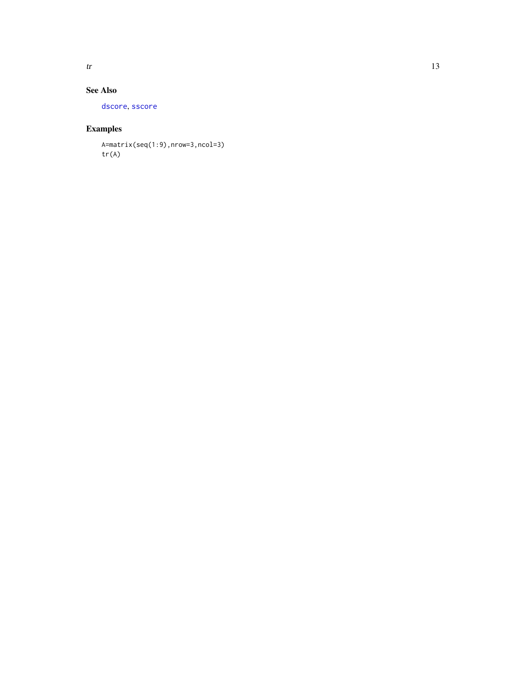<span id="page-12-0"></span>

## See Also

[dscore](#page-2-1) , [sscore](#page-10-1)

## Examples

A=matrix(seq(1:9),nrow=3,ncol=3) tr(A)